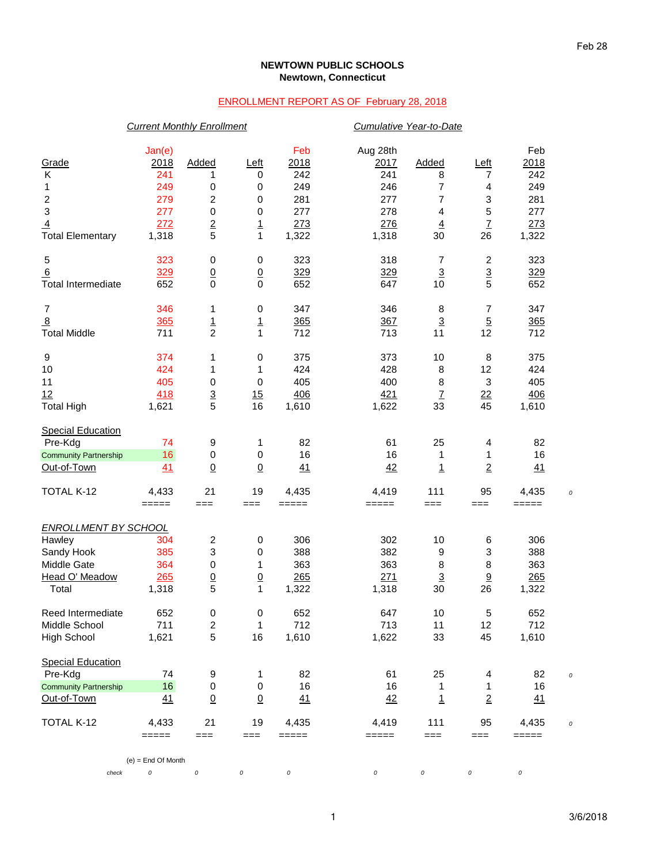## **NEWTOWN PUBLIC SCHOOLS Newtown, Connecticut**

## ENROLLMENT REPORT AS OF February 28, 2018

|                              | <b>Current Monthly Enrollment</b> |                 |                 |          | Cumulative Year-to-Date |                          |                           |                                                           |  |
|------------------------------|-----------------------------------|-----------------|-----------------|----------|-------------------------|--------------------------|---------------------------|-----------------------------------------------------------|--|
|                              | Jan(e)                            |                 |                 | Feb      | Aug 28th                |                          |                           | Feb                                                       |  |
| Grade                        | 2018                              | Added           | Left            | 2018     | 2017                    | Added                    | <u>Left</u>               | 2018                                                      |  |
| Κ                            | 241                               | 1               | 0               | 242      | 241                     | 8                        | 7                         | 242                                                       |  |
| 1                            | 249                               | 0               | $\pmb{0}$       | 249      | 246                     | 7                        | 4                         | 249                                                       |  |
| $\overline{\mathbf{c}}$      | 279                               | 2               | 0               | 281      | 277                     | 7                        | 3                         | 281                                                       |  |
| $\ensuremath{\mathsf{3}}$    | 277                               | 0               | $\pmb{0}$       | 277      | 278                     | 4                        | 5                         | 277                                                       |  |
| $\overline{4}$               | 272                               | $\frac{2}{5}$   | $\overline{1}$  | 273      | 276                     | $\overline{4}$           | $\overline{1}$            | 273                                                       |  |
| <b>Total Elementary</b>      | 1,318                             |                 | $\mathbf{1}$    | 1,322    | 1,318                   | 30                       | 26                        | 1,322                                                     |  |
| $\mathbf 5$                  | 323                               | 0               | $\pmb{0}$       | 323      | 318                     | 7                        | $\overline{c}$            | 323                                                       |  |
| 6                            | 329                               | $\underline{0}$ | $\underline{0}$ | 329      | 329                     | $\overline{3}$           | $\overline{3}$            | 329                                                       |  |
| <b>Total Intermediate</b>    | 652                               | $\mathbf 0$     | $\mathbf 0$     | 652      | 647                     | 10                       | 5                         | 652                                                       |  |
| $\overline{7}$               | 346                               | 1               | 0               | 347      | 346                     | 8                        | $\overline{7}$            | 347                                                       |  |
| $\overline{8}$               | 365                               | $\overline{1}$  | $\overline{1}$  | 365      | 367                     | $\underline{\mathbf{3}}$ | $\overline{5}$            | 365                                                       |  |
| <b>Total Middle</b>          | 711                               | $\overline{2}$  | $\mathbf{1}$    | 712      | 713                     | 11                       | 12                        | 712                                                       |  |
| 9                            | 374                               | 1               | $\pmb{0}$       | 375      | 373                     | 10                       | 8                         | 375                                                       |  |
| 10                           | 424                               | 1               | 1               | 424      | 428                     | 8                        | 12                        | 424                                                       |  |
| 11                           | 405                               | $\mathbf 0$     | $\pmb{0}$       | 405      | 400                     | 8                        | $\ensuremath{\mathsf{3}}$ | 405                                                       |  |
| 12                           | 418                               | $\frac{3}{5}$   | 15              | 406      | 421                     | $\underline{7}$          | $\overline{22}$           | 406                                                       |  |
| <b>Total High</b>            | 1,621                             |                 | 16              | 1,610    | 1,622                   | 33                       | 45                        | 1,610                                                     |  |
| <b>Special Education</b>     |                                   |                 |                 |          |                         |                          |                           |                                                           |  |
| Pre-Kdg                      | 74                                | 9               | 1               | 82       | 61                      | 25                       | 4                         | 82                                                        |  |
| <b>Community Partnership</b> | 16                                | 0               | $\pmb{0}$       | 16       | 16                      | 1                        | 1                         | 16                                                        |  |
| Out-of-Town                  | 41                                | $\underline{0}$ | $\overline{0}$  | 41       | 42                      | 1                        | $\overline{2}$            | 41                                                        |  |
| TOTAL K-12                   | 4,433                             | 21              | 19              | 4,435    | 4,419                   | 111                      | 95                        | 4,435                                                     |  |
|                              | $=====$                           | $==$            | $==$            | =====    | =====                   | ===                      | $==$                      | =====                                                     |  |
| <b>ENROLLMENT BY SCHOOL</b>  |                                   |                 |                 |          |                         |                          |                           |                                                           |  |
| Hawley                       | 304                               | 2               | $\,0\,$         | 306      | 302                     | 10                       | 6                         | 306                                                       |  |
| Sandy Hook                   | 385                               | 3               | 0               | 388      | 382                     | 9                        | 3                         | 388                                                       |  |
| Middle Gate                  | 364                               | 0               | 1               | 363      | 363                     | 8                        | 8                         | 363                                                       |  |
| Head O' Meadow               | 265                               | $\underline{0}$ | $\overline{0}$  | 265      | 271                     | $\overline{3}$           | $\underline{9}$           | 265                                                       |  |
| Total                        | 1,318                             | 5               | 1               | 1,322    | 1,318                   | 30                       | 26                        | 1,322                                                     |  |
| Reed Intermediate            | 652                               | $\pmb{0}$       | $\pmb{0}$       | 652      | 647                     | 10                       | 5                         | 652                                                       |  |
| Middle School                | 711                               | 2               | $\mathbf{1}$    | 712      | 713                     | 11                       | 12                        | 712                                                       |  |
| <b>High School</b>           | 1,621                             | 5               | 16              | 1,610    | 1,622                   | 33                       | 45                        | 1,610                                                     |  |
| <b>Special Education</b>     |                                   |                 |                 |          |                         |                          |                           |                                                           |  |
| Pre-Kdg                      | 74                                | 9               | 1               | 82       | 61                      | 25                       | 4                         | 82                                                        |  |
| <b>Community Partnership</b> | 16                                | 0               | $\pmb{0}$       | 16       | 16                      | 1                        | 1                         | 16                                                        |  |
| Out-of-Town                  | 41                                | $\underline{0}$ | $\underline{0}$ | 41       | 42                      | $\overline{1}$           | $\overline{2}$            | 41                                                        |  |
| <b>TOTAL K-12</b>            | 4,433                             | 21              | 19              | 4,435    | 4,419                   | 111                      | 95                        | 4,435                                                     |  |
|                              | $=$ $=$ $=$ $=$                   | ===             | $==$            | =====    | =====                   | $==$                     | $==$                      | $\qquad \qquad \equiv \equiv \equiv \equiv \equiv \equiv$ |  |
|                              | $(e)$ = End Of Month              |                 |                 |          |                         |                          |                           |                                                           |  |
| check                        | 0                                 | $\cal O$        | 0               | $\it{O}$ | $\cal O$                | 0                        | $\cal O$                  | $\cal O$                                                  |  |